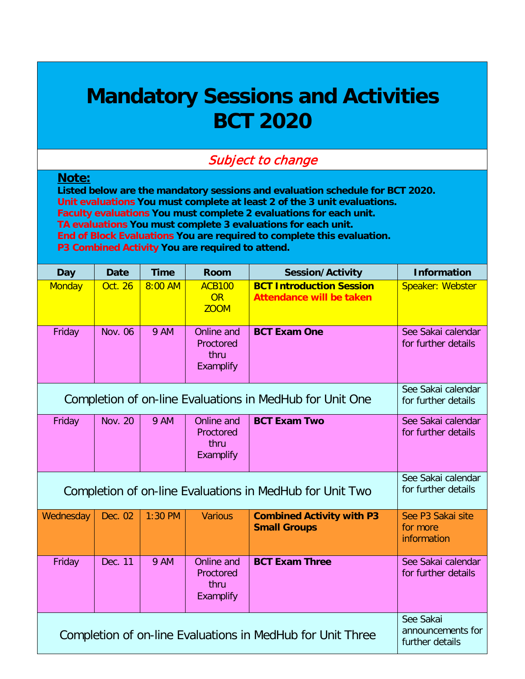## **Mandatory Sessions and Activities BCT 2020**

## Subject to change

## **Note:**

**Listed below are the mandatory sessions and evaluation schedule for BCT 2020. Unit evaluations You must complete at least 2 of the 3 unit evaluations. Faculty evaluations You must complete 2 evaluations for each unit. TA evaluations You must complete 3 evaluations for each unit. End of Block Evaluations You are required to complete this evaluation. P3 Combined Activity You are required to attend.**

| <b>Day</b>                                                 | <b>Date</b>                                       | <b>Time</b> | Room                                         | <b>Session/Activity</b>                                            | <b>Information</b>                           |
|------------------------------------------------------------|---------------------------------------------------|-------------|----------------------------------------------|--------------------------------------------------------------------|----------------------------------------------|
| <b>Monday</b>                                              | <b>Oct. 26</b>                                    | 8:00 AM     | <b>ACB100</b><br>OR<br><b>ZOOM</b>           | <b>BCT Introduction Session</b><br><b>Attendance will be taken</b> | Speaker: Webster                             |
| Friday                                                     | <b>Nov. 06</b>                                    | <b>9 AM</b> | Online and<br>Proctored<br>thru<br>Examplify | <b>BCT Exam One</b>                                                | See Sakai calendar<br>for further details    |
| Completion of on-line Evaluations in MedHub for Unit One   | See Sakai calendar<br>for further details         |             |                                              |                                                                    |                                              |
| Friday                                                     | <b>Nov. 20</b>                                    | <b>9 AM</b> | Online and<br>Proctored<br>thru<br>Examplify | <b>BCT Exam Two</b>                                                | See Sakai calendar<br>for further details    |
|                                                            |                                                   |             |                                              | Completion of on-line Evaluations in MedHub for Unit Two           | See Sakai calendar<br>for further details    |
| Wednesday                                                  | Dec. 02                                           | 1:30 PM     | <b>Various</b>                               | <b>Combined Activity with P3</b><br><b>Small Groups</b>            | See P3 Sakai site<br>for more<br>information |
| Friday                                                     | Dec. 11                                           | <b>9 AM</b> | Online and<br>Proctored<br>thru<br>Examplify | <b>BCT Exam Three</b>                                              | See Sakai calendar<br>for further details    |
| Completion of on-line Evaluations in MedHub for Unit Three | See Sakai<br>announcements for<br>further details |             |                                              |                                                                    |                                              |